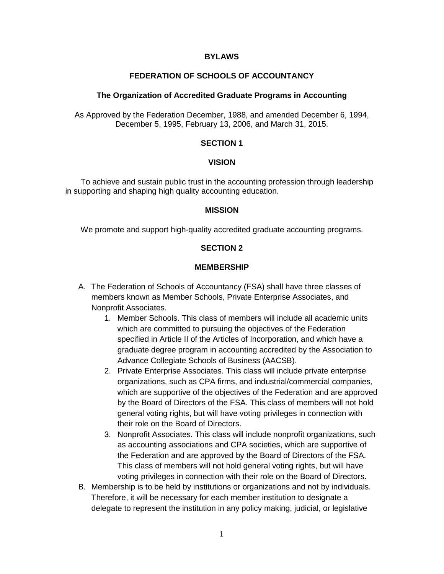#### **BYLAWS**

### **FEDERATION OF SCHOOLS OF ACCOUNTANCY**

#### **The Organization of Accredited Graduate Programs in Accounting**

As Approved by the Federation December, 1988, and amended December 6, 1994, December 5, 1995, February 13, 2006, and March 31, 2015.

#### **SECTION 1**

#### **VISION**

 To achieve and sustain public trust in the accounting profession through leadership in supporting and shaping high quality accounting education.

#### **MISSION**

We promote and support high-quality accredited graduate accounting programs.

#### **SECTION 2**

#### **MEMBERSHIP**

- A. The Federation of Schools of Accountancy (FSA) shall have three classes of members known as Member Schools, Private Enterprise Associates, and Nonprofit Associates.
	- 1. Member Schools. This class of members will include all academic units which are committed to pursuing the objectives of the Federation specified in Article II of the Articles of Incorporation, and which have a graduate degree program in accounting accredited by the Association to Advance Collegiate Schools of Business (AACSB).
	- 2. Private Enterprise Associates. This class will include private enterprise organizations, such as CPA firms, and industrial/commercial companies, which are supportive of the objectives of the Federation and are approved by the Board of Directors of the FSA. This class of members will not hold general voting rights, but will have voting privileges in connection with their role on the Board of Directors.
	- 3. Nonprofit Associates. This class will include nonprofit organizations, such as accounting associations and CPA societies, which are supportive of the Federation and are approved by the Board of Directors of the FSA. This class of members will not hold general voting rights, but will have voting privileges in connection with their role on the Board of Directors.
- B. Membership is to be held by institutions or organizations and not by individuals. Therefore, it will be necessary for each member institution to designate a delegate to represent the institution in any policy making, judicial, or legislative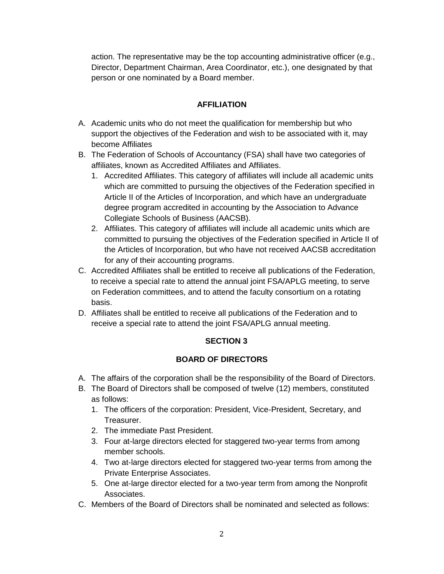action. The representative may be the top accounting administrative officer (e.g., Director, Department Chairman, Area Coordinator, etc.), one designated by that person or one nominated by a Board member.

# **AFFILIATION**

- A. Academic units who do not meet the qualification for membership but who support the objectives of the Federation and wish to be associated with it, may become Affiliates
- B. The Federation of Schools of Accountancy (FSA) shall have two categories of affiliates, known as Accredited Affiliates and Affiliates.
	- 1. Accredited Affiliates. This category of affiliates will include all academic units which are committed to pursuing the objectives of the Federation specified in Article II of the Articles of Incorporation, and which have an undergraduate degree program accredited in accounting by the Association to Advance Collegiate Schools of Business (AACSB).
	- 2. Affiliates. This category of affiliates will include all academic units which are committed to pursuing the objectives of the Federation specified in Article II of the Articles of Incorporation, but who have not received AACSB accreditation for any of their accounting programs.
- C. Accredited Affiliates shall be entitled to receive all publications of the Federation, to receive a special rate to attend the annual joint FSA/APLG meeting, to serve on Federation committees, and to attend the faculty consortium on a rotating basis.
- D. Affiliates shall be entitled to receive all publications of the Federation and to receive a special rate to attend the joint FSA/APLG annual meeting.

## **SECTION 3**

## **BOARD OF DIRECTORS**

- A. The affairs of the corporation shall be the responsibility of the Board of Directors.
- B. The Board of Directors shall be composed of twelve (12) members, constituted as follows:
	- 1. The officers of the corporation: President, Vice-President, Secretary, and Treasurer.
	- 2. The immediate Past President.
	- 3. Four at-large directors elected for staggered two-year terms from among member schools.
	- 4. Two at-large directors elected for staggered two-year terms from among the Private Enterprise Associates.
	- 5. One at-large director elected for a two-year term from among the Nonprofit Associates.
- C. Members of the Board of Directors shall be nominated and selected as follows: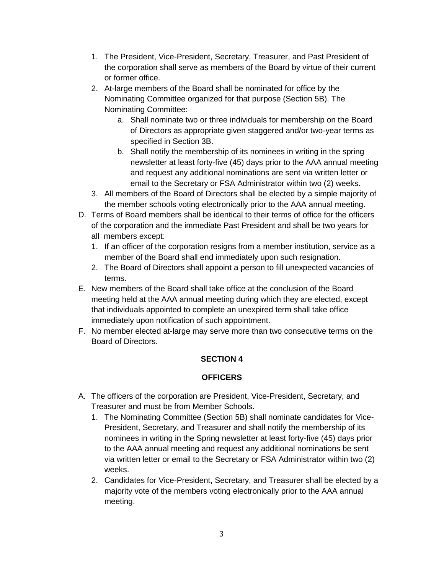- 1. The President, Vice-President, Secretary, Treasurer, and Past President of the corporation shall serve as members of the Board by virtue of their current or former office.
- 2. At-large members of the Board shall be nominated for office by the Nominating Committee organized for that purpose (Section 5B). The Nominating Committee:
	- a. Shall nominate two or three individuals for membership on the Board of Directors as appropriate given staggered and/or two-year terms as specified in Section 3B.
	- b. Shall notify the membership of its nominees in writing in the spring newsletter at least forty-five (45) days prior to the AAA annual meeting and request any additional nominations are sent via written letter or email to the Secretary or FSA Administrator within two (2) weeks.
- 3. All members of the Board of Directors shall be elected by a simple majority of the member schools voting electronically prior to the AAA annual meeting.
- D. Terms of Board members shall be identical to their terms of office for the officers of the corporation and the immediate Past President and shall be two years for all members except:
	- 1. If an officer of the corporation resigns from a member institution, service as a member of the Board shall end immediately upon such resignation.
	- 2. The Board of Directors shall appoint a person to fill unexpected vacancies of terms.
- E. New members of the Board shall take office at the conclusion of the Board meeting held at the AAA annual meeting during which they are elected, except that individuals appointed to complete an unexpired term shall take office immediately upon notification of such appointment.
- F. No member elected at-large may serve more than two consecutive terms on the Board of Directors.

## **OFFICERS**

- A. The officers of the corporation are President, Vice-President, Secretary, and Treasurer and must be from Member Schools.
	- 1. The Nominating Committee (Section 5B) shall nominate candidates for Vice-President, Secretary, and Treasurer and shall notify the membership of its nominees in writing in the Spring newsletter at least forty-five (45) days prior to the AAA annual meeting and request any additional nominations be sent via written letter or email to the Secretary or FSA Administrator within two (2) weeks.
	- 2. Candidates for Vice-President, Secretary, and Treasurer shall be elected by a majority vote of the members voting electronically prior to the AAA annual meeting.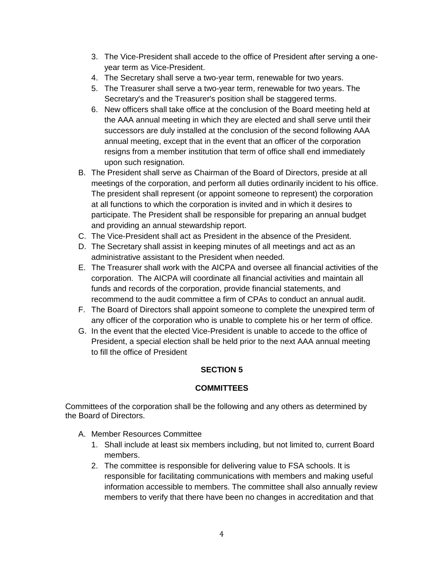- 3. The Vice-President shall accede to the office of President after serving a oneyear term as Vice-President.
- 4. The Secretary shall serve a two-year term, renewable for two years.
- 5. The Treasurer shall serve a two-year term, renewable for two years. The Secretary's and the Treasurer's position shall be staggered terms.
- 6. New officers shall take office at the conclusion of the Board meeting held at the AAA annual meeting in which they are elected and shall serve until their successors are duly installed at the conclusion of the second following AAA annual meeting, except that in the event that an officer of the corporation resigns from a member institution that term of office shall end immediately upon such resignation.
- B. The President shall serve as Chairman of the Board of Directors, preside at all meetings of the corporation, and perform all duties ordinarily incident to his office. The president shall represent (or appoint someone to represent) the corporation at all functions to which the corporation is invited and in which it desires to participate. The President shall be responsible for preparing an annual budget and providing an annual stewardship report.
- C. The Vice-President shall act as President in the absence of the President.
- D. The Secretary shall assist in keeping minutes of all meetings and act as an administrative assistant to the President when needed.
- E. The Treasurer shall work with the AICPA and oversee all financial activities of the corporation. The AICPA will coordinate all financial activities and maintain all funds and records of the corporation, provide financial statements, and recommend to the audit committee a firm of CPAs to conduct an annual audit.
- F. The Board of Directors shall appoint someone to complete the unexpired term of any officer of the corporation who is unable to complete his or her term of office.
- G. In the event that the elected Vice-President is unable to accede to the office of President, a special election shall be held prior to the next AAA annual meeting to fill the office of President

### **COMMITTEES**

Committees of the corporation shall be the following and any others as determined by the Board of Directors.

- A. Member Resources Committee
	- 1. Shall include at least six members including, but not limited to, current Board members.
	- 2. The committee is responsible for delivering value to FSA schools. It is responsible for facilitating communications with members and making useful information accessible to members. The committee shall also annually review members to verify that there have been no changes in accreditation and that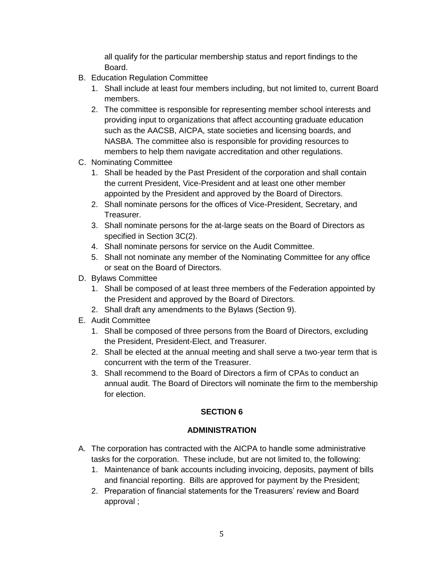all qualify for the particular membership status and report findings to the Board.

- B. Education Regulation Committee
	- 1. Shall include at least four members including, but not limited to, current Board members.
	- 2. The committee is responsible for representing member school interests and providing input to organizations that affect accounting graduate education such as the AACSB, AICPA, state societies and licensing boards, and NASBA. The committee also is responsible for providing resources to members to help them navigate accreditation and other regulations.
- C. Nominating Committee
	- 1. Shall be headed by the Past President of the corporation and shall contain the current President, Vice-President and at least one other member appointed by the President and approved by the Board of Directors.
	- 2. Shall nominate persons for the offices of Vice-President, Secretary, and Treasurer.
	- 3. Shall nominate persons for the at-large seats on the Board of Directors as specified in Section 3C(2).
	- 4. Shall nominate persons for service on the Audit Committee.
	- 5. Shall not nominate any member of the Nominating Committee for any office or seat on the Board of Directors.
- D. Bylaws Committee
	- 1. Shall be composed of at least three members of the Federation appointed by the President and approved by the Board of Directors.
	- 2. Shall draft any amendments to the Bylaws (Section 9).
- E. Audit Committee
	- 1. Shall be composed of three persons from the Board of Directors, excluding the President, President-Elect, and Treasurer.
	- 2. Shall be elected at the annual meeting and shall serve a two-year term that is concurrent with the term of the Treasurer.
	- 3. Shall recommend to the Board of Directors a firm of CPAs to conduct an annual audit. The Board of Directors will nominate the firm to the membership for election.

## **SECTION 6**

## **ADMINISTRATION**

- A. The corporation has contracted with the AICPA to handle some administrative tasks for the corporation. These include, but are not limited to, the following:
	- 1. Maintenance of bank accounts including invoicing, deposits, payment of bills and financial reporting. Bills are approved for payment by the President;
	- 2. Preparation of financial statements for the Treasurers' review and Board approval ;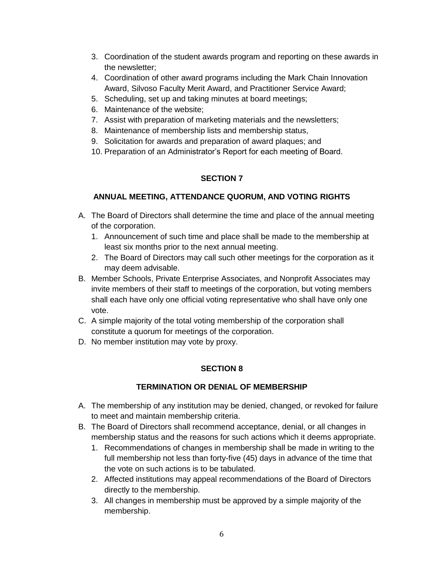- 3. Coordination of the student awards program and reporting on these awards in the newsletter;
- 4. Coordination of other award programs including the Mark Chain Innovation Award, Silvoso Faculty Merit Award, and Practitioner Service Award;
- 5. Scheduling, set up and taking minutes at board meetings;
- 6. Maintenance of the website;
- 7. Assist with preparation of marketing materials and the newsletters;
- 8. Maintenance of membership lists and membership status,
- 9. Solicitation for awards and preparation of award plaques; and
- 10. Preparation of an Administrator's Report for each meeting of Board.

# **ANNUAL MEETING, ATTENDANCE QUORUM, AND VOTING RIGHTS**

- A. The Board of Directors shall determine the time and place of the annual meeting of the corporation.
	- 1. Announcement of such time and place shall be made to the membership at least six months prior to the next annual meeting.
	- 2. The Board of Directors may call such other meetings for the corporation as it may deem advisable.
- B. Member Schools, Private Enterprise Associates, and Nonprofit Associates may invite members of their staff to meetings of the corporation, but voting members shall each have only one official voting representative who shall have only one vote.
- C. A simple majority of the total voting membership of the corporation shall constitute a quorum for meetings of the corporation.
- D. No member institution may vote by proxy.

# **SECTION 8**

# **TERMINATION OR DENIAL OF MEMBERSHIP**

- A. The membership of any institution may be denied, changed, or revoked for failure to meet and maintain membership criteria.
- B. The Board of Directors shall recommend acceptance, denial, or all changes in membership status and the reasons for such actions which it deems appropriate.
	- 1. Recommendations of changes in membership shall be made in writing to the full membership not less than forty-five (45) days in advance of the time that the vote on such actions is to be tabulated.
	- 2. Affected institutions may appeal recommendations of the Board of Directors directly to the membership.
	- 3. All changes in membership must be approved by a simple majority of the membership.